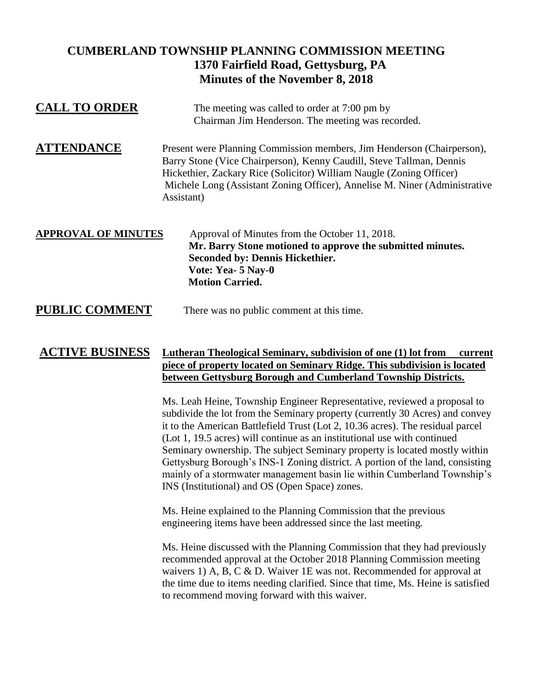## **CUMBERLAND TOWNSHIP PLANNING COMMISSION MEETING 1370 Fairfield Road, Gettysburg, PA Minutes of the November 8, 2018**

| <b>CALL TO ORDER</b>       | The meeting was called to order at 7:00 pm by<br>Chairman Jim Henderson. The meeting was recorded.                                                                                                                                                                                                                 |
|----------------------------|--------------------------------------------------------------------------------------------------------------------------------------------------------------------------------------------------------------------------------------------------------------------------------------------------------------------|
| <b>ATTENDANCE</b>          | Present were Planning Commission members, Jim Henderson (Chairperson),<br>Barry Stone (Vice Chairperson), Kenny Caudill, Steve Tallman, Dennis<br>Hickethier, Zackary Rice (Solicitor) William Naugle (Zoning Officer)<br>Michele Long (Assistant Zoning Officer), Annelise M. Niner (Administrative<br>Assistant) |
| <b>APPROVAL OF MINUTES</b> | Approval of Minutes from the October 11, 2018.<br>Mr. Barry Stone motioned to approve the submitted minutes.<br><b>Seconded by: Dennis Hickethier.</b><br>Vote: Yea- 5 Nay-0<br><b>Motion Carried.</b>                                                                                                             |
| <b>PUBLIC COMMENT</b>      | There was no public comment at this time.                                                                                                                                                                                                                                                                          |

## **ACTIVE BUSINESS Lutheran Theological Seminary, subdivision of one (1) lot from current piece of property located on Seminary Ridge. This subdivision is located between Gettysburg Borough and Cumberland Township Districts.**

Ms. Leah Heine, Township Engineer Representative, reviewed a proposal to subdivide the lot from the Seminary property (currently 30 Acres) and convey it to the American Battlefield Trust (Lot 2, 10.36 acres). The residual parcel (Lot 1, 19.5 acres) will continue as an institutional use with continued Seminary ownership. The subject Seminary property is located mostly within Gettysburg Borough's INS-1 Zoning district. A portion of the land, consisting mainly of a stormwater management basin lie within Cumberland Township's INS (Institutional) and OS (Open Space) zones.

Ms. Heine explained to the Planning Commission that the previous engineering items have been addressed since the last meeting.

Ms. Heine discussed with the Planning Commission that they had previously recommended approval at the October 2018 Planning Commission meeting waivers 1) A, B, C & D. Waiver 1E was not. Recommended for approval at the time due to items needing clarified. Since that time, Ms. Heine is satisfied to recommend moving forward with this waiver.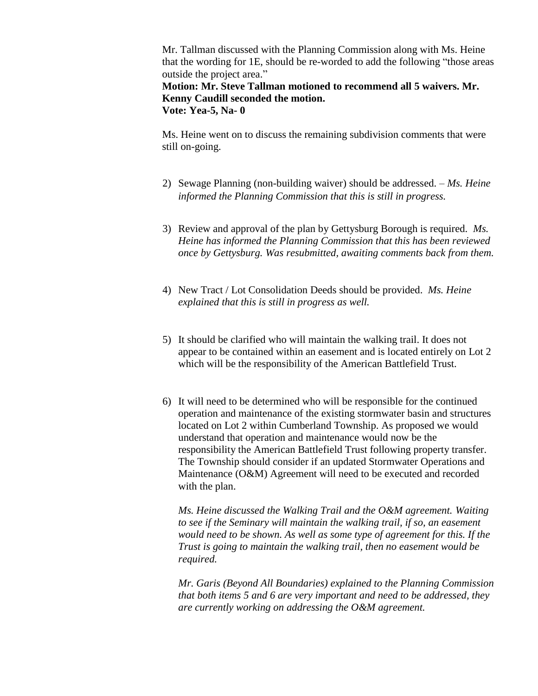Mr. Tallman discussed with the Planning Commission along with Ms. Heine that the wording for 1E, should be re-worded to add the following "those areas outside the project area."

**Motion: Mr. Steve Tallman motioned to recommend all 5 waivers. Mr. Kenny Caudill seconded the motion. Vote: Yea-5, Na- 0**

Ms. Heine went on to discuss the remaining subdivision comments that were still on-going.

- 2) Sewage Planning (non-building waiver) should be addressed. *Ms. Heine informed the Planning Commission that this is still in progress.*
- 3) Review and approval of the plan by Gettysburg Borough is required. *Ms. Heine has informed the Planning Commission that this has been reviewed once by Gettysburg. Was resubmitted, awaiting comments back from them.*
- 4) New Tract / Lot Consolidation Deeds should be provided. *Ms. Heine explained that this is still in progress as well.*
- 5) It should be clarified who will maintain the walking trail. It does not appear to be contained within an easement and is located entirely on Lot 2 which will be the responsibility of the American Battlefield Trust.
- 6) It will need to be determined who will be responsible for the continued operation and maintenance of the existing stormwater basin and structures located on Lot 2 within Cumberland Township. As proposed we would understand that operation and maintenance would now be the responsibility the American Battlefield Trust following property transfer. The Township should consider if an updated Stormwater Operations and Maintenance (O&M) Agreement will need to be executed and recorded with the plan.

*Ms. Heine discussed the Walking Trail and the O&M agreement. Waiting to see if the Seminary will maintain the walking trail, if so, an easement would need to be shown. As well as some type of agreement for this. If the Trust is going to maintain the walking trail, then no easement would be required.* 

*Mr. Garis (Beyond All Boundaries) explained to the Planning Commission that both items 5 and 6 are very important and need to be addressed, they are currently working on addressing the O&M agreement.*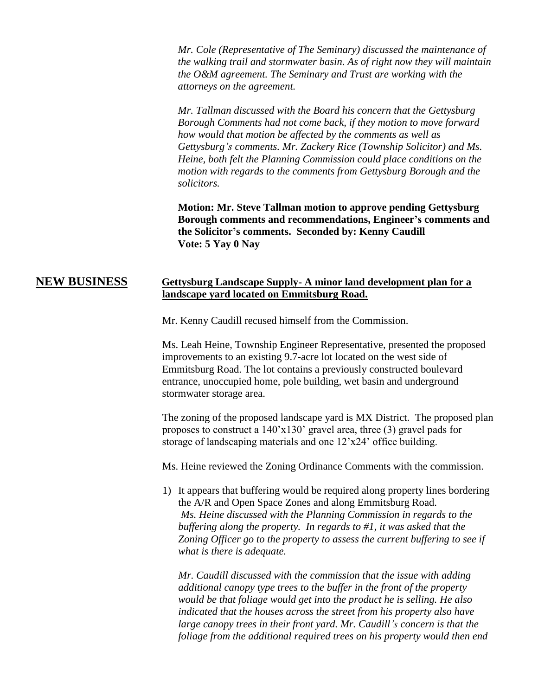*Mr. Cole (Representative of The Seminary) discussed the maintenance of the walking trail and stormwater basin. As of right now they will maintain the O&M agreement. The Seminary and Trust are working with the attorneys on the agreement.* 

*Mr. Tallman discussed with the Board his concern that the Gettysburg Borough Comments had not come back, if they motion to move forward how would that motion be affected by the comments as well as Gettysburg's comments. Mr. Zackery Rice (Township Solicitor) and Ms. Heine, both felt the Planning Commission could place conditions on the motion with regards to the comments from Gettysburg Borough and the solicitors.*

**Motion: Mr. Steve Tallman motion to approve pending Gettysburg Borough comments and recommendations, Engineer's comments and the Solicitor's comments. Seconded by: Kenny Caudill Vote: 5 Yay 0 Nay**

## **NEW BUSINESS Gettysburg Landscape Supply- A minor land development plan for a landscape yard located on Emmitsburg Road.**

Mr. Kenny Caudill recused himself from the Commission.

Ms. Leah Heine, Township Engineer Representative, presented the proposed improvements to an existing 9.7-acre lot located on the west side of Emmitsburg Road. The lot contains a previously constructed boulevard entrance, unoccupied home, pole building, wet basin and underground stormwater storage area.

The zoning of the proposed landscape yard is MX District. The proposed plan proposes to construct a 140'x130' gravel area, three (3) gravel pads for storage of landscaping materials and one 12'x24' office building.

Ms. Heine reviewed the Zoning Ordinance Comments with the commission.

1) It appears that buffering would be required along property lines bordering the A/R and Open Space Zones and along Emmitsburg Road. *Ms. Heine discussed with the Planning Commission in regards to the buffering along the property. In regards to #1, it was asked that the Zoning Officer go to the property to assess the current buffering to see if what is there is adequate.* 

*Mr. Caudill discussed with the commission that the issue with adding additional canopy type trees to the buffer in the front of the property would be that foliage would get into the product he is selling. He also indicated that the houses across the street from his property also have large canopy trees in their front yard. Mr. Caudill's concern is that the foliage from the additional required trees on his property would then end*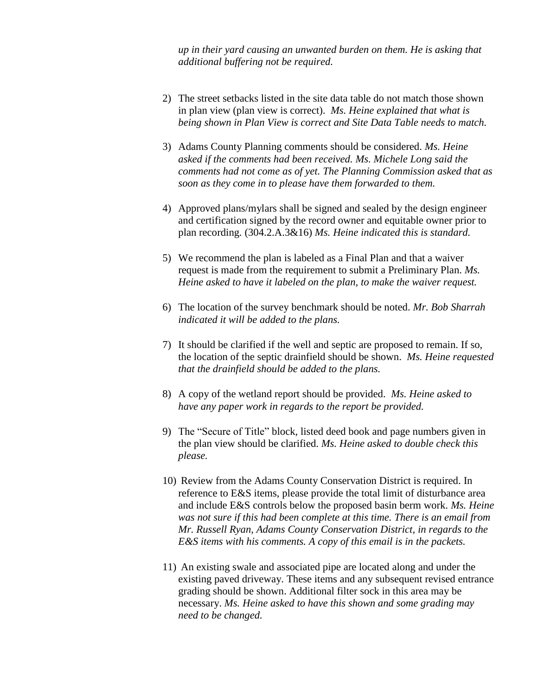*up in their yard causing an unwanted burden on them. He is asking that additional buffering not be required.* 

- 2) The street setbacks listed in the site data table do not match those shown in plan view (plan view is correct). *Ms. Heine explained that what is being shown in Plan View is correct and Site Data Table needs to match.*
- 3) Adams County Planning comments should be considered. *Ms. Heine asked if the comments had been received. Ms. Michele Long said the comments had not come as of yet. The Planning Commission asked that as soon as they come in to please have them forwarded to them.*
- 4) Approved plans/mylars shall be signed and sealed by the design engineer and certification signed by the record owner and equitable owner prior to plan recording. (304.2.A.3&16) *Ms. Heine indicated this is standard.*
- 5) We recommend the plan is labeled as a Final Plan and that a waiver request is made from the requirement to submit a Preliminary Plan. *Ms. Heine asked to have it labeled on the plan, to make the waiver request.*
- 6) The location of the survey benchmark should be noted. *Mr. Bob Sharrah indicated it will be added to the plans.*
- 7) It should be clarified if the well and septic are proposed to remain. If so, the location of the septic drainfield should be shown. *Ms. Heine requested that the drainfield should be added to the plans.*
- 8) A copy of the wetland report should be provided. *Ms. Heine asked to have any paper work in regards to the report be provided.*
- 9) The "Secure of Title" block, listed deed book and page numbers given in the plan view should be clarified. *Ms. Heine asked to double check this please.*
- 10) Review from the Adams County Conservation District is required. In reference to E&S items, please provide the total limit of disturbance area and include E&S controls below the proposed basin berm work. *Ms. Heine was not sure if this had been complete at this time. There is an email from Mr. Russell Ryan, Adams County Conservation District, in regards to the E&S items with his comments. A copy of this email is in the packets.*
- 11) An existing swale and associated pipe are located along and under the existing paved driveway. These items and any subsequent revised entrance grading should be shown. Additional filter sock in this area may be necessary. *Ms. Heine asked to have this shown and some grading may need to be changed.*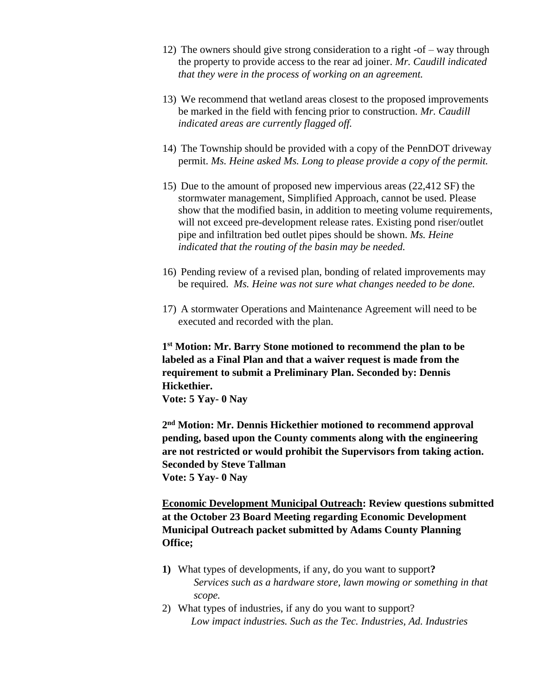- 12) The owners should give strong consideration to a right -of way through the property to provide access to the rear ad joiner. *Mr. Caudill indicated that they were in the process of working on an agreement.*
- 13) We recommend that wetland areas closest to the proposed improvements be marked in the field with fencing prior to construction. *Mr. Caudill indicated areas are currently flagged off.*
- 14) The Township should be provided with a copy of the PennDOT driveway permit. *Ms. Heine asked Ms. Long to please provide a copy of the permit.*
- 15) Due to the amount of proposed new impervious areas (22,412 SF) the stormwater management, Simplified Approach, cannot be used. Please show that the modified basin, in addition to meeting volume requirements, will not exceed pre-development release rates. Existing pond riser/outlet pipe and infiltration bed outlet pipes should be shown. *Ms. Heine indicated that the routing of the basin may be needed.*
- 16) Pending review of a revised plan, bonding of related improvements may be required. *Ms. Heine was not sure what changes needed to be done.*
- 17) A stormwater Operations and Maintenance Agreement will need to be executed and recorded with the plan.

**1 st Motion: Mr. Barry Stone motioned to recommend the plan to be labeled as a Final Plan and that a waiver request is made from the requirement to submit a Preliminary Plan. Seconded by: Dennis Hickethier.** 

**Vote: 5 Yay- 0 Nay** 

**2 nd Motion: Mr. Dennis Hickethier motioned to recommend approval pending, based upon the County comments along with the engineering are not restricted or would prohibit the Supervisors from taking action. Seconded by Steve Tallman Vote: 5 Yay- 0 Nay**

**Economic Development Municipal Outreach: Review questions submitted at the October 23 Board Meeting regarding Economic Development Municipal Outreach packet submitted by Adams County Planning Office;**

- **1)** What types of developments, if any, do you want to support**?** *Services such as a hardware store, lawn mowing or something in that scope.*
- 2) What types of industries, if any do you want to support? *Low impact industries. Such as the Tec. Industries, Ad. Industries*